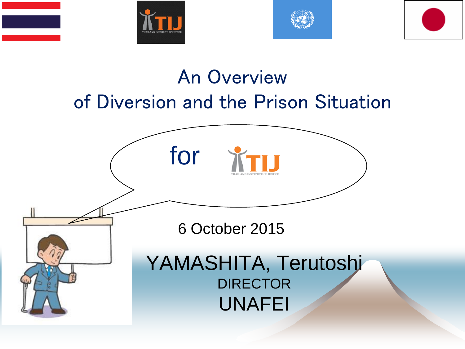





#### An Overview of Diversion and the Prison Situation

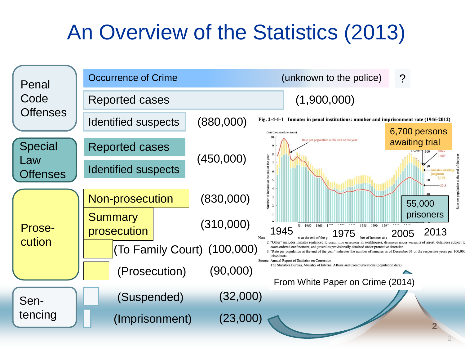### An Overview of the Statistics (2013)

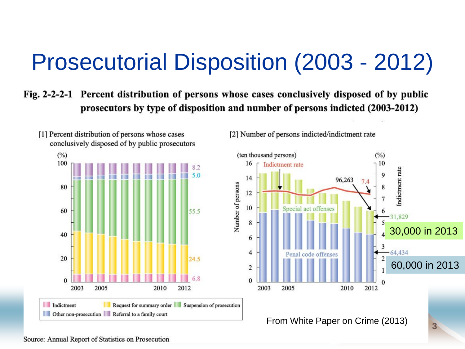## Prosecutorial Disposition (2003 - 2012)

#### Fig. 2-2-2-1 Percent distribution of persons whose cases conclusively disposed of by public prosecutors by type of disposition and number of persons indicted (2003-2012)



[1] Percent distribution of persons whose cases

[2] Number of persons indicted/indictment rate



From White Paper on Crime (2013)

**3**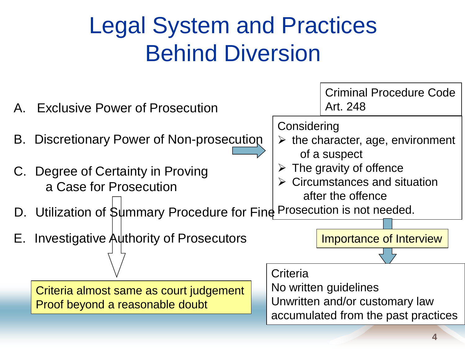## Legal System and Practices Behind Diversion

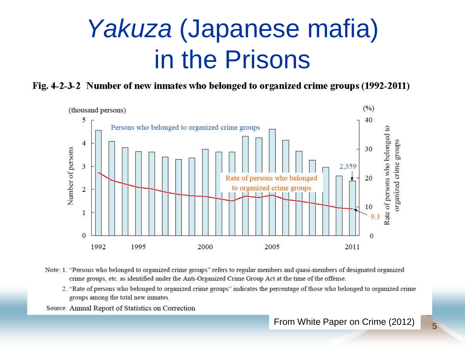## *Yakuza* (Japanese mafia) in the Prisons

Fig. 4-2-3-2 Number of new inmates who belonged to organized crime groups (1992-2011)



- Note: 1. "Persons who belonged to organized crime groups" refers to regular members and quasi-members of designated organized crime groups, etc. as identified under the Anti-Organized Crime Group Act at the time of the offense.
	- 2. "Rate of persons who belonged to organized crime groups" indicates the percentage of those who belonged to organized crime groups among the total new inmates.

Source: Annual Report of Statistics on Correction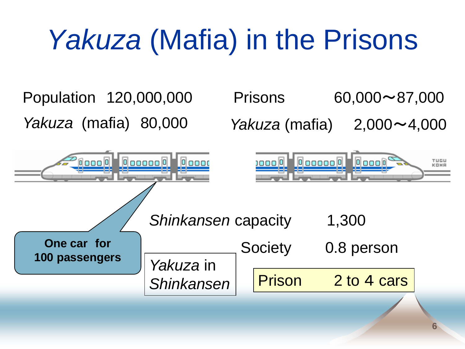# *Yakuza* (Mafia) in the Prisons

Population 120,000,000 Prisons 60,000~87,000 *Yakuza* (mafia) 80,000 *Yakuza* (mafia) 2,000~4,000 **Occooo D** Occoo 10000 0 000000 00000  $\boxed{0}$ 000 $\boxed{0}$ TUGU KOMB ang Silaya *Shinkansen* capacity 1,300 **One car for** Society 0.8 person **100 passengers** *Yakuza* in Shinkansen Prison 2 to 4 cars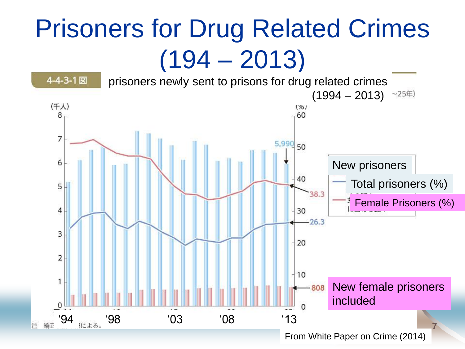## Prisoners for Drug Related Crimes  $(194 - 2013)$

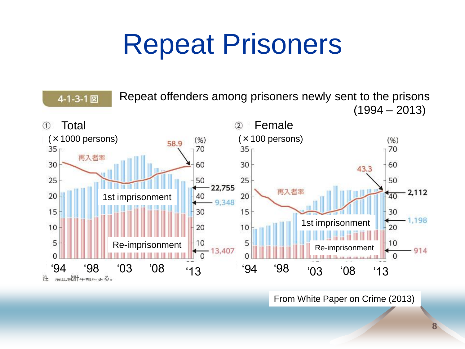# Repeat Prisoners



From White Paper on Crime (2013)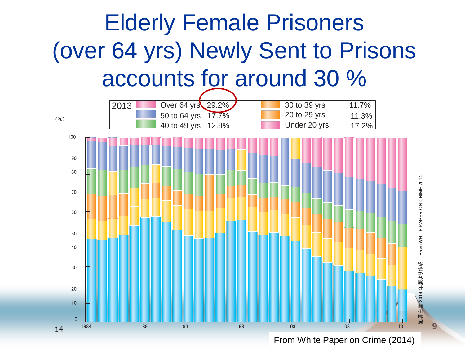

From White Paper on Crime (2014)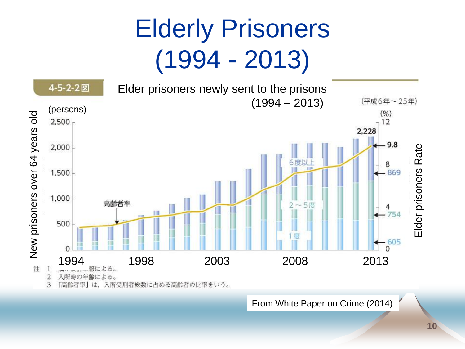# Elderly Prisoners (1994 - 2013)



From White Paper on Crime (2014)